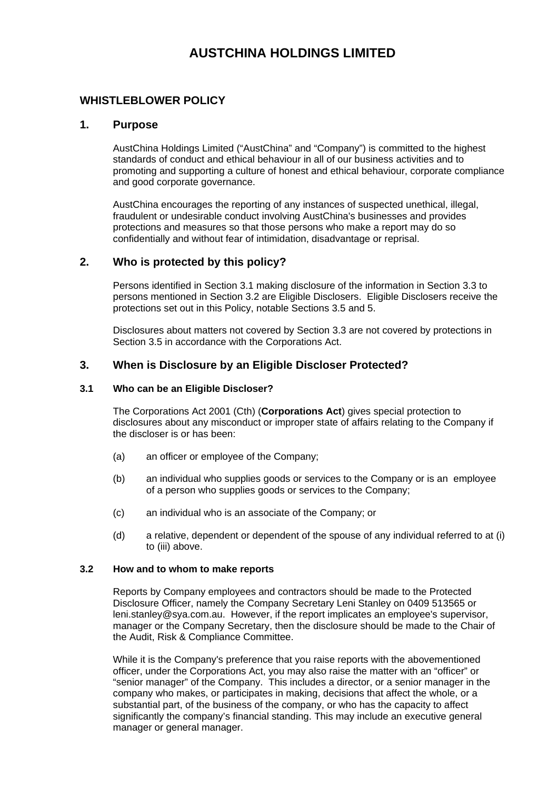# **AUSTCHINA HOLDINGS LIMITED**

# **WHISTLEBLOWER POLICY**

# **1. Purpose**

AustChina Holdings Limited ("AustChina" and "Company") is committed to the highest standards of conduct and ethical behaviour in all of our business activities and to promoting and supporting a culture of honest and ethical behaviour, corporate compliance and good corporate governance.

AustChina encourages the reporting of any instances of suspected unethical, illegal, fraudulent or undesirable conduct involving AustChina's businesses and provides protections and measures so that those persons who make a report may do so confidentially and without fear of intimidation, disadvantage or reprisal.

# **2. Who is protected by this policy?**

Persons identified in Section 3.1 making disclosure of the information in Section 3.3 to persons mentioned in Section 3.2 are Eligible Disclosers. Eligible Disclosers receive the protections set out in this Policy, notable Sections 3.5 and 5.

Disclosures about matters not covered by Section 3.3 are not covered by protections in Section 3.5 in accordance with the Corporations Act.

# **3. When is Disclosure by an Eligible Discloser Protected?**

## **3.1 Who can be an Eligible Discloser?**

The Corporations Act 2001 (Cth) (**Corporations Act**) gives special protection to disclosures about any misconduct or improper state of affairs relating to the Company if the discloser is or has been:

- (a) an officer or employee of the Company;
- (b) an individual who supplies goods or services to the Company or is an employee of a person who supplies goods or services to the Company;
- (c) an individual who is an associate of the Company; or
- (d) a relative, dependent or dependent of the spouse of any individual referred to at (i) to (iii) above.

#### **3.2 How and to whom to make reports**

Reports by Company employees and contractors should be made to the Protected Disclosure Officer, namely the Company Secretary Leni Stanley on 0409 513565 or leni.stanley@sya.com.au. However, if the report implicates an employee's supervisor, manager or the Company Secretary, then the disclosure should be made to the Chair of the Audit, Risk & Compliance Committee.

While it is the Company's preference that you raise reports with the abovementioned officer, under the Corporations Act, you may also raise the matter with an "officer" or "senior manager" of the Company. This includes a director, or a senior manager in the company who makes, or participates in making, decisions that affect the whole, or a substantial part, of the business of the company, or who has the capacity to affect significantly the company's financial standing. This may include an executive general manager or general manager.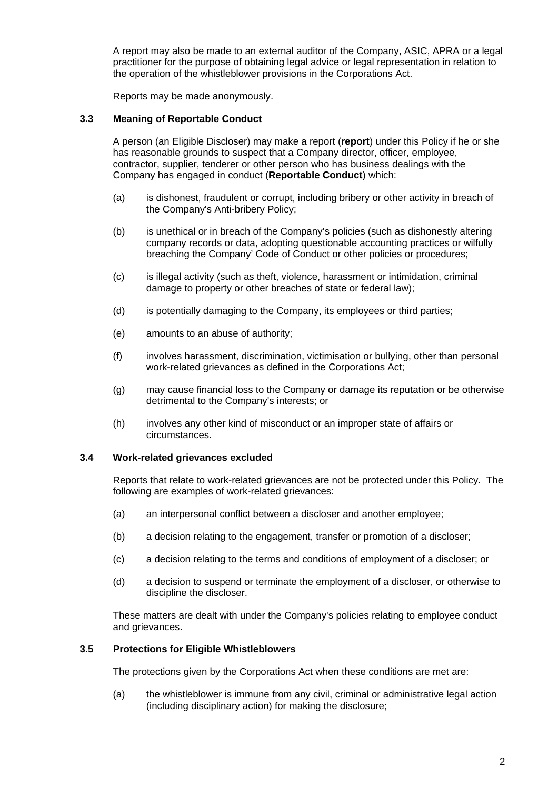A report may also be made to an external auditor of the Company, ASIC, APRA or a legal practitioner for the purpose of obtaining legal advice or legal representation in relation to the operation of the whistleblower provisions in the Corporations Act.

Reports may be made anonymously.

#### **3.3 Meaning of Reportable Conduct**

A person (an Eligible Discloser) may make a report (**report**) under this Policy if he or she has reasonable grounds to suspect that a Company director, officer, employee, contractor, supplier, tenderer or other person who has business dealings with the Company has engaged in conduct (**Reportable Conduct**) which:

- (a) is dishonest, fraudulent or corrupt, including bribery or other activity in breach of the Company's Anti-bribery Policy;
- (b) is unethical or in breach of the Company's policies (such as dishonestly altering company records or data, adopting questionable accounting practices or wilfully breaching the Company' Code of Conduct or other policies or procedures;
- (c) is illegal activity (such as theft, violence, harassment or intimidation, criminal damage to property or other breaches of state or federal law);
- (d) is potentially damaging to the Company, its employees or third parties;
- (e) amounts to an abuse of authority;
- (f) involves harassment, discrimination, victimisation or bullying, other than personal work-related grievances as defined in the Corporations Act;
- (g) may cause financial loss to the Company or damage its reputation or be otherwise detrimental to the Company's interests; or
- (h) involves any other kind of misconduct or an improper state of affairs or circumstances.

#### **3.4 Work-related grievances excluded**

Reports that relate to work-related grievances are not be protected under this Policy. The following are examples of work-related grievances:

- (a) an interpersonal conflict between a discloser and another employee;
- (b) a decision relating to the engagement, transfer or promotion of a discloser;
- (c) a decision relating to the terms and conditions of employment of a discloser; or
- (d) a decision to suspend or terminate the employment of a discloser, or otherwise to discipline the discloser.

These matters are dealt with under the Company's policies relating to employee conduct and grievances.

#### **3.5 Protections for Eligible Whistleblowers**

The protections given by the Corporations Act when these conditions are met are:

(a) the whistleblower is immune from any civil, criminal or administrative legal action (including disciplinary action) for making the disclosure;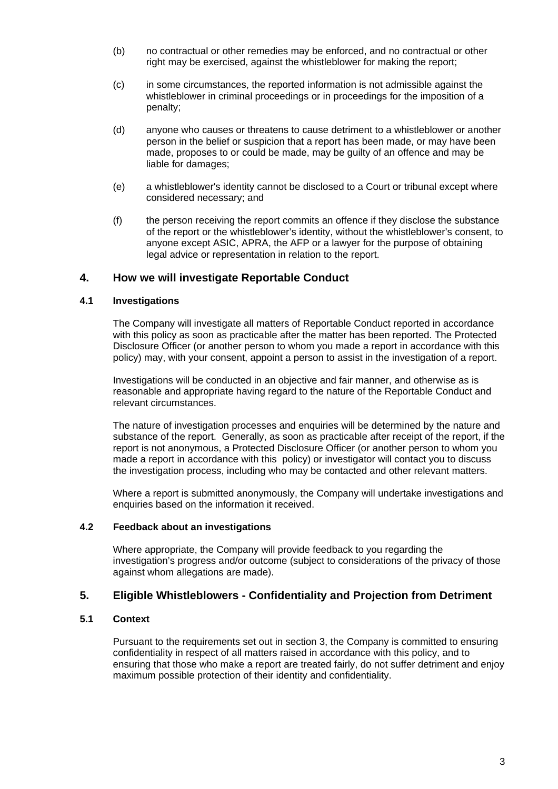- (b) no contractual or other remedies may be enforced, and no contractual or other right may be exercised, against the whistleblower for making the report;
- (c) in some circumstances, the reported information is not admissible against the whistleblower in criminal proceedings or in proceedings for the imposition of a penalty;
- (d) anyone who causes or threatens to cause detriment to a whistleblower or another person in the belief or suspicion that a report has been made, or may have been made, proposes to or could be made, may be guilty of an offence and may be liable for damages;
- (e) a whistleblower's identity cannot be disclosed to a Court or tribunal except where considered necessary; and
- (f) the person receiving the report commits an offence if they disclose the substance of the report or the whistleblower's identity, without the whistleblower's consent, to anyone except ASIC, APRA, the AFP or a lawyer for the purpose of obtaining legal advice or representation in relation to the report.

# **4. How we will investigate Reportable Conduct**

## **4.1 Investigations**

The Company will investigate all matters of Reportable Conduct reported in accordance with this policy as soon as practicable after the matter has been reported. The Protected Disclosure Officer (or another person to whom you made a report in accordance with this policy) may, with your consent, appoint a person to assist in the investigation of a report.

Investigations will be conducted in an objective and fair manner, and otherwise as is reasonable and appropriate having regard to the nature of the Reportable Conduct and relevant circumstances.

The nature of investigation processes and enquiries will be determined by the nature and substance of the report. Generally, as soon as practicable after receipt of the report, if the report is not anonymous, a Protected Disclosure Officer (or another person to whom you made a report in accordance with this policy) or investigator will contact you to discuss the investigation process, including who may be contacted and other relevant matters.

Where a report is submitted anonymously, the Company will undertake investigations and enquiries based on the information it received.

#### **4.2 Feedback about an investigations**

Where appropriate, the Company will provide feedback to you regarding the investigation's progress and/or outcome (subject to considerations of the privacy of those against whom allegations are made).

# **5. Eligible Whistleblowers - Confidentiality and Projection from Detriment**

# **5.1 Context**

Pursuant to the requirements set out in section 3, the Company is committed to ensuring confidentiality in respect of all matters raised in accordance with this policy, and to ensuring that those who make a report are treated fairly, do not suffer detriment and enjoy maximum possible protection of their identity and confidentiality.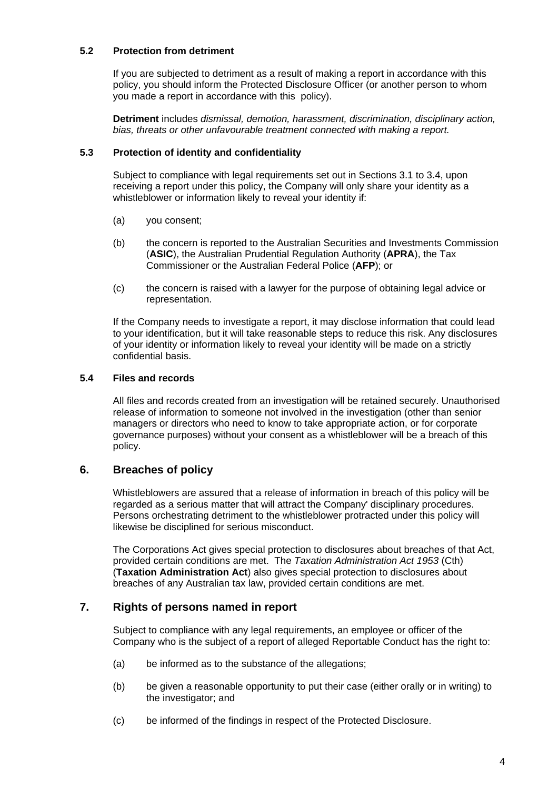## **5.2 Protection from detriment**

If you are subjected to detriment as a result of making a report in accordance with this policy, you should inform the Protected Disclosure Officer (or another person to whom you made a report in accordance with this policy).

**Detriment** includes *dismissal, demotion, harassment, discrimination, disciplinary action, bias, threats or other unfavourable treatment connected with making a report.* 

## **5.3 Protection of identity and confidentiality**

Subject to compliance with legal requirements set out in Sections 3.1 to 3.4, upon receiving a report under this policy, the Company will only share your identity as a whistleblower or information likely to reveal your identity if:

- (a) you consent;
- (b) the concern is reported to the Australian Securities and Investments Commission (**ASIC**), the Australian Prudential Regulation Authority (**APRA**), the Tax Commissioner or the Australian Federal Police (**AFP**); or
- (c) the concern is raised with a lawyer for the purpose of obtaining legal advice or representation.

If the Company needs to investigate a report, it may disclose information that could lead to your identification, but it will take reasonable steps to reduce this risk. Any disclosures of your identity or information likely to reveal your identity will be made on a strictly confidential basis.

## **5.4 Files and records**

All files and records created from an investigation will be retained securely. Unauthorised release of information to someone not involved in the investigation (other than senior managers or directors who need to know to take appropriate action, or for corporate governance purposes) without your consent as a whistleblower will be a breach of this policy.

# **6. Breaches of policy**

Whistleblowers are assured that a release of information in breach of this policy will be regarded as a serious matter that will attract the Company' disciplinary procedures. Persons orchestrating detriment to the whistleblower protracted under this policy will likewise be disciplined for serious misconduct.

The Corporations Act gives special protection to disclosures about breaches of that Act, provided certain conditions are met. The *Taxation Administration Act 1953* (Cth) (**Taxation Administration Act**) also gives special protection to disclosures about breaches of any Australian tax law, provided certain conditions are met.

# **7. Rights of persons named in report**

Subject to compliance with any legal requirements, an employee or officer of the Company who is the subject of a report of alleged Reportable Conduct has the right to:

- (a) be informed as to the substance of the allegations;
- (b) be given a reasonable opportunity to put their case (either orally or in writing) to the investigator; and
- (c) be informed of the findings in respect of the Protected Disclosure.